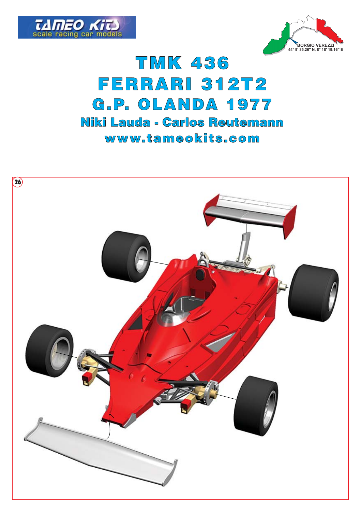



## **TMK 436 FERRARI 312T2** G.P. OLANDA 1977 Niki Lauda - Carlos Reutemann www.tameokits.com

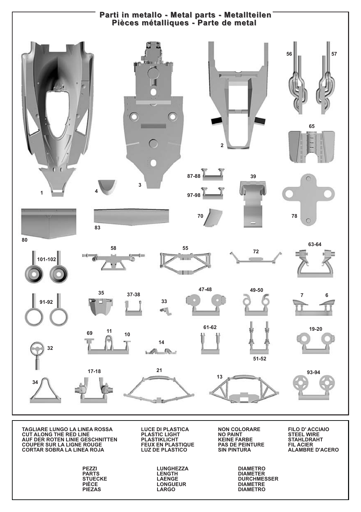

TAGLIARE LUNGO LA LINEA ROSSA<br>CUT ALONG THE RED LINE AUF DER ROTEN LINIE GESCHNITTEN **COUPER SUR LA LIGNE ROUGE CORTAR SOBRA LA LINEA ROJA** 

> PEZZI **PARTS STUECKE** PIÈCE **PIEZAS**

**LUCE DI PLASTICA PLASTIC LIGHT PLASTIKLICHT** FEUX EN PLASTIQUE<br>LUZ DE PLASTICO

> LUNGHEZZA LENGTH LAENGE **LONGUEUR** LARGO

**NON COLORARE NO PAINT** KEINE FARBE<br>PAS DE PEINTURE **SIN PINTURA** 

> **DIAMETRO DIAMETER DURCHMESSER DIAMETRE DIAMETRO**

**FILO D' ACCIAIO<br>STEEL WIRE STAHLDRAHT** FIL ACIER **ALAMBRE D'ACERO**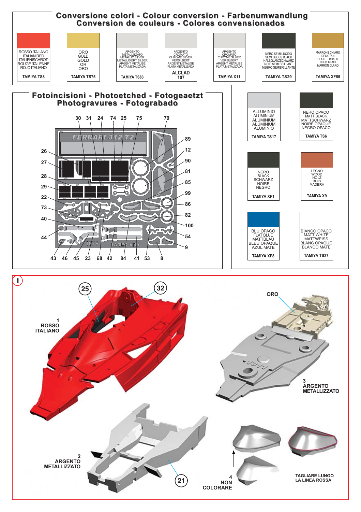

ARGENTO **METALLIZZATO** 

**21 NON EXAMPLE 1999 EXAMPLE 1999** 

4<br>NON COLORARE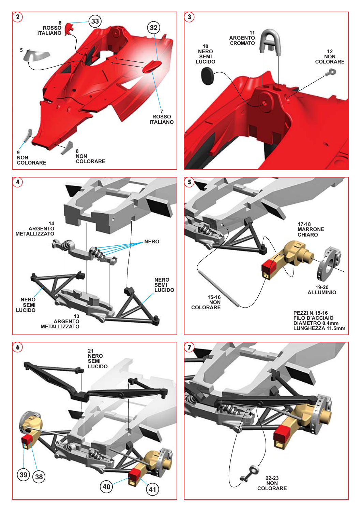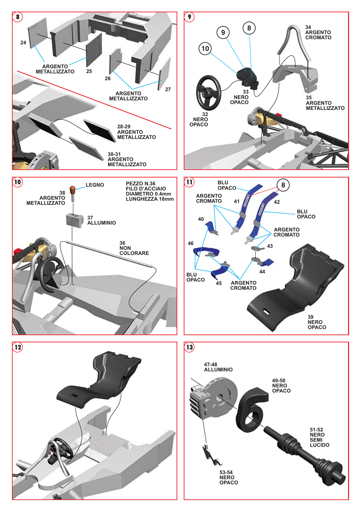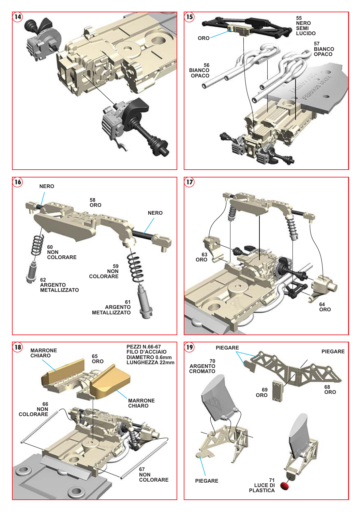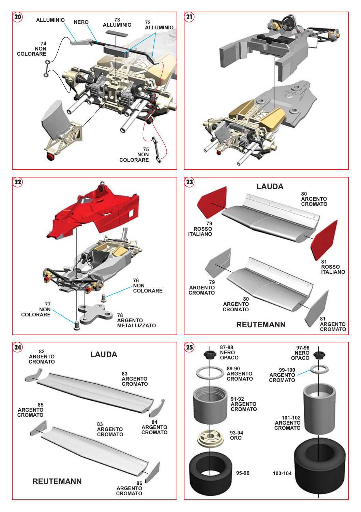